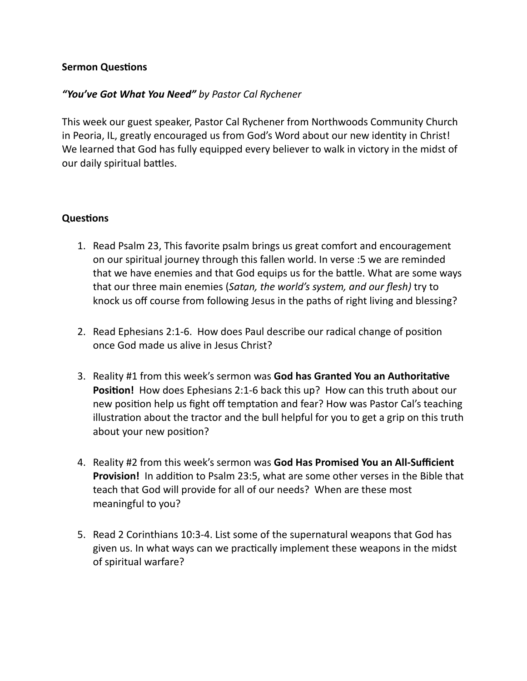## **Sermon Questions**

## *"You've Got What You Need" by Pastor Cal Rychener*

This week our guest speaker, Pastor Cal Rychener from Northwoods Community Church in Peoria, IL, greatly encouraged us from God's Word about our new identity in Christ! We learned that God has fully equipped every believer to walk in victory in the midst of our daily spiritual battles.

## **Questions**

- 1. Read Psalm 23, This favorite psalm brings us great comfort and encouragement on our spiritual journey through this fallen world. In verse :5 we are reminded that we have enemies and that God equips us for the battle. What are some ways that our three main enemies (*Satan, the world's system, and our flesh)* try to knock us off course from following Jesus in the paths of right living and blessing?
- 2. Read Ephesians 2:1-6. How does Paul describe our radical change of position once God made us alive in Jesus Christ?
- 3. Reality #1 from this week's sermon was **God has Granted You an Authoritative Position!** How does Ephesians 2:1-6 back this up? How can this truth about our new position help us fight off temptation and fear? How was Pastor Cal's teaching illustration about the tractor and the bull helpful for you to get a grip on this truth about your new position?
- 4. Reality #2 from this week's sermon was **God Has Promised You an All-Sufficient Provision!** In addition to Psalm 23:5, what are some other verses in the Bible that teach that God will provide for all of our needs? When are these most meaningful to you?
- 5. Read 2 Corinthians 10:3-4. List some of the supernatural weapons that God has given us. In what ways can we practically implement these weapons in the midst of spiritual warfare?